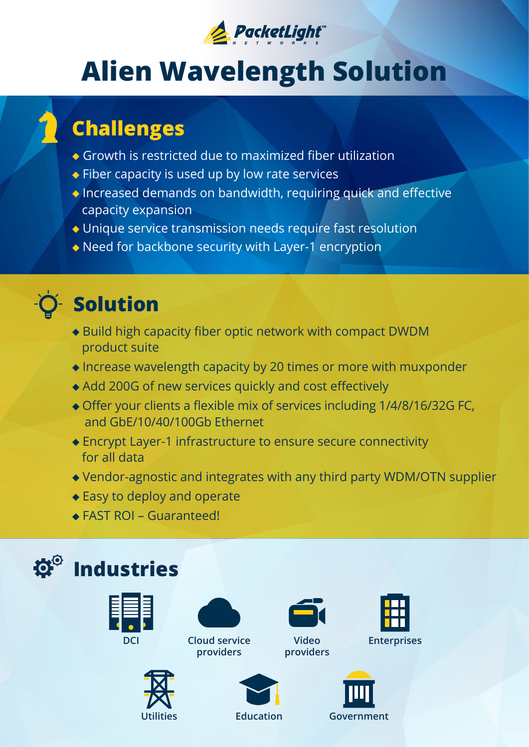

# **Alien Wavelength Solution**

#### **Challenges**

- $\bullet$  Growth is restricted due to maximized fiber utilization
- $\bullet$  Fiber capacity is used up by low rate services
- $\bullet$  Increased demands on bandwidth, requiring quick and effective capacity expansion
- Unique service transmission needs require fast resolution
- $\bullet$  Need for backbone security with Layer-1 encryption



#### **Solution**

- $\bullet$  Build high capacity fiber optic network with compact DWDM product suite
- $\bullet$  Increase wavelength capacity by 20 times or more with muxponder
- Add 200G of new services quickly and cost effectively
- $\bullet$  Offer your clients a flexible mix of services including 1/4/8/16/32G FC, and GbE/10/40/100Gb Ethernet
- $\bullet$  Encrypt Layer-1 infrastructure to ensure secure connectivity for all data
- $\blacklozenge$  Vendor-agnostic and integrates with any third party WDM/OTN supplier
- $\triangle$  Easy to deploy and operate
- $\triangle$  FAST ROI Guaranteed!

### **Industries**





**DCI** Cloud service Video **providers**